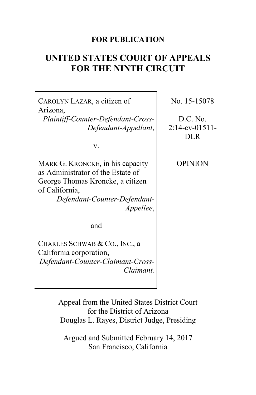## **FOR PUBLICATION**

# **UNITED STATES COURT OF APPEALS FOR THE NINTH CIRCUIT**

CAROLYN LAZAR, a citizen of Arizona,

*Plaintiff-Counter-Defendant-Cross-Defendant-Appellant*,

v.

MARK G. KRONCKE, in his capacity as Administrator of the Estate of George Thomas Kroncke, a citizen of California, *Defendant-Counter-Defendant-*

*Appellee*,

and

CHARLES SCHWAB & CO., INC., a California corporation, *Defendant-Counter-Claimant-Cross-Claimant.*

No. 15-15078

D.C. No. 2:14-cv-01511- DLR

OPINION

Appeal from the United States District Court for the District of Arizona Douglas L. Rayes, District Judge, Presiding

Argued and Submitted February 14, 2017 San Francisco, California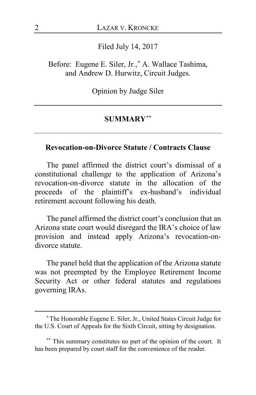Filed July 14, 2017

Before: Eugene E. Siler, Jr.,**[\\*](#page-1-0)** A. Wallace Tashima, and Andrew D. Hurwitz, Circuit Judges.

Opinion by Judge Siler

### **SUMMARY[\\*\\*](#page-1-1)**

### **Revocation-on-Divorce Statute / Contracts Clause**

The panel affirmed the district court's dismissal of a constitutional challenge to the application of Arizona's revocation-on-divorce statute in the allocation of the proceeds of the plaintiff's ex-husband's individual retirement account following his death.

The panel affirmed the district court's conclusion that an Arizona state court would disregard the IRA's choice of law provision and instead apply Arizona's revocation-ondivorce statute.

The panel held that the application of the Arizona statute was not preempted by the Employee Retirement Income Security Act or other federal statutes and regulations governing IRAs.

 $\overline{a}$ 

<span id="page-1-0"></span>**<sup>\*</sup>**The Honorable Eugene E. Siler, Jr., United States Circuit Judge for the U.S. Court of Appeals for the Sixth Circuit, sitting by designation.

<span id="page-1-1"></span>**<sup>\*\*</sup>** This summary constitutes no part of the opinion of the court. It has been prepared by court staff for the convenience of the reader.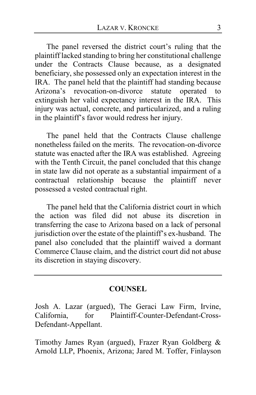The panel reversed the district court's ruling that the plaintiff lacked standing to bring her constitutional challenge under the Contracts Clause because, as a designated beneficiary, she possessed only an expectation interest in the IRA. The panel held that the plaintiff had standing because Arizona's revocation-on-divorce statute operated to extinguish her valid expectancy interest in the IRA. This injury was actual, concrete, and particularized, and a ruling in the plaintiff's favor would redress her injury.

The panel held that the Contracts Clause challenge nonetheless failed on the merits. The revocation-on-divorce statute was enacted after the IRA was established. Agreeing with the Tenth Circuit, the panel concluded that this change in state law did not operate as a substantial impairment of a contractual relationship because the plaintiff never possessed a vested contractual right.

The panel held that the California district court in which the action was filed did not abuse its discretion in transferring the case to Arizona based on a lack of personal jurisdiction over the estate of the plaintiff's ex-husband. The panel also concluded that the plaintiff waived a dormant Commerce Clause claim, and the district court did not abuse its discretion in staying discovery.

### **COUNSEL**

Josh A. Lazar (argued), The Geraci Law Firm, Irvine, California, for Plaintiff-Counter-Defendant-Cross-Defendant-Appellant.

Timothy James Ryan (argued), Frazer Ryan Goldberg & Arnold LLP, Phoenix, Arizona; Jared M. Toffer, Finlayson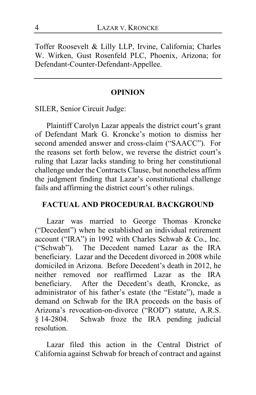Toffer Roosevelt & Lilly LLP, Irvine, California; Charles W. Wirken, Gust Rosenfeld PLC, Phoenix, Arizona; for Defendant-Counter-Defendant-Appellee.

### **OPINION**

SILER, Senior Circuit Judge:

Plaintiff Carolyn Lazar appeals the district court's grant of Defendant Mark G. Kroncke's motion to dismiss her second amended answer and cross-claim ("SAACC"). For the reasons set forth below, we reverse the district court's ruling that Lazar lacks standing to bring her constitutional challenge under the Contracts Clause, but nonetheless affirm the judgment finding that Lazar's constitutional challenge fails and affirming the district court's other rulings.

### **FACTUAL AND PROCEDURAL BACKGROUND**

Lazar was married to George Thomas Kroncke ("Decedent") when he established an individual retirement account ("IRA") in 1992 with Charles Schwab & Co., Inc. ("Schwab"). The Decedent named Lazar as the IRA beneficiary. Lazar and the Decedent divorced in 2008 while domiciled in Arizona. Before Decedent's death in 2012, he neither removed nor reaffirmed Lazar as the IRA beneficiary. After the Decedent's death, Kroncke, as administrator of his father's estate (the "Estate"), made a demand on Schwab for the IRA proceeds on the basis of Arizona's revocation-on-divorce ("ROD") statute, A.R.S. § 14-2804. Schwab froze the IRA pending judicial resolution.

Lazar filed this action in the Central District of California against Schwab for breach of contract and against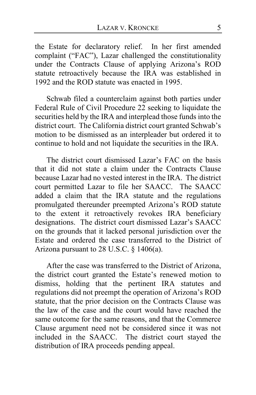the Estate for declaratory relief. In her first amended complaint ("FAC"), Lazar challenged the constitutionality under the Contracts Clause of applying Arizona's ROD statute retroactively because the IRA was established in 1992 and the ROD statute was enacted in 1995.

Schwab filed a counterclaim against both parties under Federal Rule of Civil Procedure 22 seeking to liquidate the securities held by the IRA and interplead those funds into the district court. The California district court granted Schwab's motion to be dismissed as an interpleader but ordered it to continue to hold and not liquidate the securities in the IRA.

The district court dismissed Lazar's FAC on the basis that it did not state a claim under the Contracts Clause because Lazar had no vested interest in the IRA. The district court permitted Lazar to file her SAACC. The SAACC added a claim that the IRA statute and the regulations promulgated thereunder preempted Arizona's ROD statute to the extent it retroactively revokes IRA beneficiary designations. The district court dismissed Lazar's SAACC on the grounds that it lacked personal jurisdiction over the Estate and ordered the case transferred to the District of Arizona pursuant to 28 U.S.C. § 1406(a).

After the case was transferred to the District of Arizona, the district court granted the Estate's renewed motion to dismiss, holding that the pertinent IRA statutes and regulations did not preempt the operation of Arizona's ROD statute, that the prior decision on the Contracts Clause was the law of the case and the court would have reached the same outcome for the same reasons, and that the Commerce Clause argument need not be considered since it was not included in the SAACC. The district court stayed the distribution of IRA proceeds pending appeal.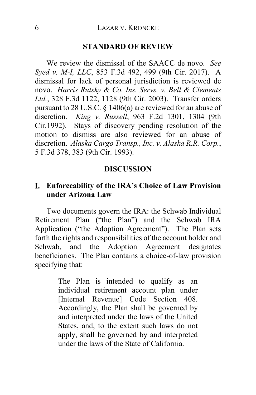### **STANDARD OF REVIEW**

We review the dismissal of the SAACC de novo. *See Syed v. M-I, LLC*, 853 F.3d 492, 499 (9th Cir. 2017). A dismissal for lack of personal jurisdiction is reviewed de novo. *Harris Rutsky & Co. Ins. Servs. v. Bell & Clements Ltd.*, 328 F.3d 1122, 1128 (9th Cir. 2003). Transfer orders pursuant to 28 U.S.C. § 1406(a) are reviewed for an abuse of discretion. *King v. Russell*, 963 F.2d 1301, 1304 (9th Cir.1992). Stays of discovery pending resolution of the motion to dismiss are also reviewed for an abuse of discretion. *Alaska Cargo Transp., Inc. v. Alaska R.R. Corp.*, 5 F.3d 378, 383 (9th Cir. 1993).

### **DISCUSSION**

## **Enforceability of the IRA's Choice of Law Provision under Arizona Law**

Two documents govern the IRA: the Schwab Individual Retirement Plan ("the Plan") and the Schwab IRA Application ("the Adoption Agreement"). The Plan sets forth the rights and responsibilities of the account holder and Schwab, and the Adoption Agreement designates beneficiaries. The Plan contains a choice-of-law provision specifying that:

> The Plan is intended to qualify as an individual retirement account plan under [Internal Revenue] Code Section 408. Accordingly, the Plan shall be governed by and interpreted under the laws of the United States, and, to the extent such laws do not apply, shall be governed by and interpreted under the laws of the State of California.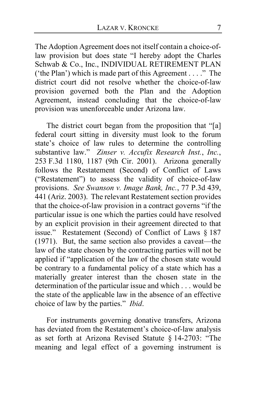The Adoption Agreement does not itself contain a choice-oflaw provision but does state "I hereby adopt the Charles Schwab & Co., Inc., INDIVIDUAL RETIREMENT PLAN ('the Plan') which is made part of this Agreement . . . ." The district court did not resolve whether the choice-of-law provision governed both the Plan and the Adoption Agreement, instead concluding that the choice-of-law provision was unenforceable under Arizona law.

The district court began from the proposition that "[a] federal court sitting in diversity must look to the forum state's choice of law rules to determine the controlling substantive law." *Zinser v. Accufix Research Inst.*, *Inc.*, 253 F.3d 1180, 1187 (9th Cir. 2001). Arizona generally follows the Restatement (Second) of Conflict of Laws ("Restatement") to assess the validity of choice-of-law provisions. *See Swanson v. Image Bank, Inc.*, 77 P.3d 439, 441 (Ariz. 2003). The relevant Restatement section provides that the choice-of-law provision in a contract governs "if the particular issue is one which the parties could have resolved by an explicit provision in their agreement directed to that issue." Restatement (Second) of Conflict of Laws § 187 (1971). But, the same section also provides a caveat—the law of the state chosen by the contracting parties will not be applied if "application of the law of the chosen state would be contrary to a fundamental policy of a state which has a materially greater interest than the chosen state in the determination of the particular issue and which . . . would be the state of the applicable law in the absence of an effective choice of law by the parties." *Ibid*.

For instruments governing donative transfers, Arizona has deviated from the Restatement's choice-of-law analysis as set forth at Arizona Revised Statute § 14-2703: "The meaning and legal effect of a governing instrument is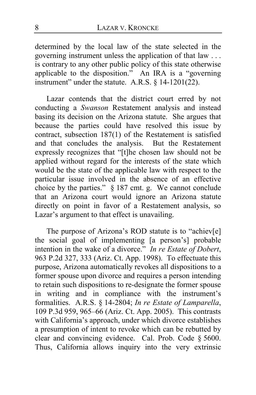determined by the local law of the state selected in the governing instrument unless the application of that law . . . is contrary to any other public policy of this state otherwise applicable to the disposition." An IRA is a "governing instrument" under the statute. A.R.S.  $\S$  14-1201(22).

Lazar contends that the district court erred by not conducting a *Swanson* Restatement analysis and instead basing its decision on the Arizona statute. She argues that because the parties could have resolved this issue by contract, subsection 187(1) of the Restatement is satisfied and that concludes the analysis. But the Restatement expressly recognizes that "[t]he chosen law should not be applied without regard for the interests of the state which would be the state of the applicable law with respect to the particular issue involved in the absence of an effective choice by the parties." § 187 cmt. g. We cannot conclude that an Arizona court would ignore an Arizona statute directly on point in favor of a Restatement analysis, so Lazar's argument to that effect is unavailing.

The purpose of Arizona's ROD statute is to "achiev[e] the social goal of implementing [a person's] probable intention in the wake of a divorce." *In re Estate of Dobert*, 963 P.2d 327, 333 (Ariz. Ct. App. 1998). To effectuate this purpose, Arizona automatically revokes all dispositions to a former spouse upon divorce and requires a person intending to retain such dispositions to re-designate the former spouse in writing and in compliance with the instrument's formalities. A.R.S. § 14-2804; *In re Estate of Lamparella*, 109 P.3d 959, 965–66 (Ariz. Ct. App. 2005). This contrasts with California's approach, under which divorce establishes a presumption of intent to revoke which can be rebutted by clear and convincing evidence. Cal. Prob. Code § 5600. Thus, California allows inquiry into the very extrinsic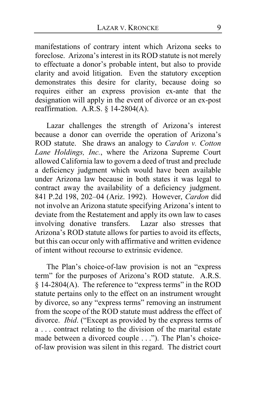manifestations of contrary intent which Arizona seeks to foreclose. Arizona's interest in its ROD statute is not merely to effectuate a donor's probable intent, but also to provide clarity and avoid litigation. Even the statutory exception demonstrates this desire for clarity, because doing so requires either an express provision ex-ante that the designation will apply in the event of divorce or an ex-post reaffirmation. A.R.S. § 14-2804(A).

Lazar challenges the strength of Arizona's interest because a donor can override the operation of Arizona's ROD statute. She draws an analogy to *Cardon v. Cotton Lane Holdings, Inc.*, where the Arizona Supreme Court allowed California law to govern a deed of trust and preclude a deficiency judgment which would have been available under Arizona law because in both states it was legal to contract away the availability of a deficiency judgment. 841 P.2d 198, 202–04 (Ariz. 1992). However, *Cardon* did not involve an Arizona statute specifying Arizona's intent to deviate from the Restatement and apply its own law to cases<br>involving donative transfers. Lazar also stresses that involving donative transfers. Arizona's ROD statute allows for parties to avoid its effects, but this can occur only with affirmative and written evidence of intent without recourse to extrinsic evidence.

The Plan's choice-of-law provision is not an "express term" for the purposes of Arizona's ROD statute. A.R.S. § 14-2804(A). The reference to "express terms" in the ROD statute pertains only to the effect on an instrument wrought by divorce, so any "express terms" removing an instrument from the scope of the ROD statute must address the effect of divorce. *Ibid*. ("Except as provided by the express terms of a . . . contract relating to the division of the marital estate made between a divorced couple . . ."). The Plan's choiceof-law provision was silent in this regard. The district court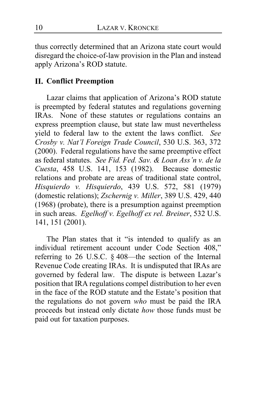thus correctly determined that an Arizona state court would disregard the choice-of-law provision in the Plan and instead apply Arizona's ROD statute.

# **Conflict Preemption**

Lazar claims that application of Arizona's ROD statute is preempted by federal statutes and regulations governing IRAs. None of these statutes or regulations contains an express preemption clause, but state law must nevertheless yield to federal law to the extent the laws conflict. *See Crosby v. Nat'l Foreign Trade Council*, 530 U.S. 363, 372 (2000). Federal regulations have the same preemptive effect as federal statutes. *See Fid. Fed. Sav. & Loan Ass'n v. de la Cuesta*, 458 U.S. 141, 153 (1982). Because domestic relations and probate are areas of traditional state control, *Hisquierdo v. Hisquierdo*, 439 U.S. 572, 581 (1979) (domestic relations); *Zschernig v. Miller*, 389 U.S. 429, 440 (1968) (probate), there is a presumption against preemption in such areas. *Egelhoff v. Egelhoff ex rel. Breiner*, 532 U.S. 141, 151 (2001).

The Plan states that it "is intended to qualify as an individual retirement account under Code Section 408," referring to 26 U.S.C. § 408—the section of the Internal Revenue Code creating IRAs. It is undisputed that IRAs are governed by federal law. The dispute is between Lazar's position that IRA regulations compel distribution to her even in the face of the ROD statute and the Estate's position that the regulations do not govern *who* must be paid the IRA proceeds but instead only dictate *how* those funds must be paid out for taxation purposes.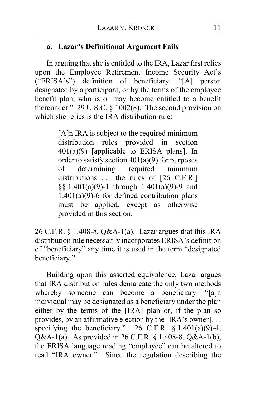## **a. Lazar's Definitional Argument Fails**

In arguing that she is entitled to the IRA, Lazar first relies upon the Employee Retirement Income Security Act's<br>("ERISA's") definition of beneficiary: "[A] person  $("ERISA's")$  definition of beneficiary: designated by a participant, or by the terms of the employee benefit plan, who is or may become entitled to a benefit thereunder." 29 U.S.C. § 1002(8). The second provision on which she relies is the IRA distribution rule:

> [A]n IRA is subject to the required minimum distribution rules provided in section 401(a)(9) [applicable to ERISA plans]. In order to satisfy section  $401(a)(9)$  for purposes of determining required minimum distributions ... the rules of [26 C.F.R.] §§ 1.401(a)(9)-1 through 1.401(a)(9)-9 and  $1.401(a)(9)$ -6 for defined contribution plans must be applied, except as otherwise provided in this section.

26 C.F.R. § 1.408-8, Q&A-1(a). Lazar argues that this IRA distribution rule necessarily incorporates ERISA's definition of "beneficiary" any time it is used in the term "designated beneficiary."

Building upon this asserted equivalence, Lazar argues that IRA distribution rules demarcate the only two methods whereby someone can become a beneficiary: "[a]n individual may be designated as a beneficiary under the plan either by the terms of the [IRA] plan or, if the plan so provides, by an affirmative election by the [IRA's owner]. . . specifying the beneficiary." 26 C.F.R.  $\S 1.401(a)(9)-4$ , Q&A-1(a). As provided in 26 C.F.R. § 1.408-8, Q&A-1(b), the ERISA language reading "employee" can be altered to read "IRA owner." Since the regulation describing the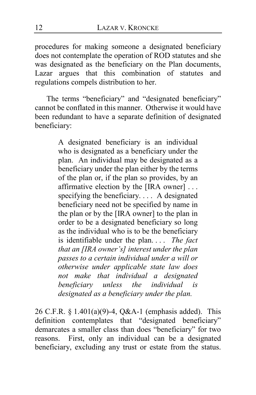procedures for making someone a designated beneficiary does not contemplate the operation of ROD statutes and she was designated as the beneficiary on the Plan documents, Lazar argues that this combination of statutes and regulations compels distribution to her.

The terms "beneficiary" and "designated beneficiary" cannot be conflated in this manner. Otherwise it would have been redundant to have a separate definition of designated beneficiary:

> A designated beneficiary is an individual who is designated as a beneficiary under the plan. An individual may be designated as a beneficiary under the plan either by the terms of the plan or, if the plan so provides, by an affirmative election by the [IRA owner] . . . specifying the beneficiary. . . . A designated beneficiary need not be specified by name in the plan or by the [IRA owner] to the plan in order to be a designated beneficiary so long as the individual who is to be the beneficiary is identifiable under the plan. . . . *The fact that an [IRA owner's] interest under the plan passes to a certain individual under a will or otherwise under applicable state law does not make that individual a designated beneficiary unless the individual is designated as a beneficiary under the plan.*

26 C.F.R. § 1.401(a)(9)-4, Q&A-1 (emphasis added). This definition contemplates that "designated beneficiary" demarcates a smaller class than does "beneficiary" for two reasons. First, only an individual can be a designated beneficiary, excluding any trust or estate from the status.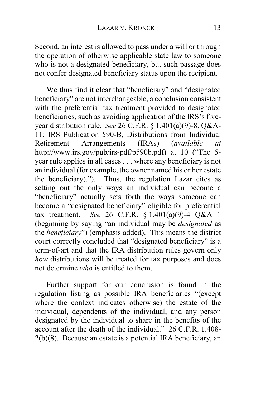Second, an interest is allowed to pass under a will or through the operation of otherwise applicable state law to someone who is not a designated beneficiary, but such passage does not confer designated beneficiary status upon the recipient.

We thus find it clear that "beneficiary" and "designated beneficiary" are not interchangeable, a conclusion consistent with the preferential tax treatment provided to designated beneficiaries, such as avoiding application of the IRS's fiveyear distribution rule. *See* 26 C.F.R. § 1.401(a)(9)-8, Q&A-11; IRS Publication 590-B, Distributions from Individual<br>Retirement Arrangements (IRAs) (available at Arrangements (IRAs) (*available at* http://www.irs.gov/pub/irs-pdf/p590b.pdf) at 10 ("The 5 year rule applies in all cases . . . where any beneficiary is not an individual (for example, the owner named his or her estate the beneficiary)."). Thus, the regulation Lazar cites as setting out the only ways an individual can become a "beneficiary" actually sets forth the ways someone can become a "designated beneficiary" eligible for preferential tax treatment. *See* 26 C.F.R. § 1.401(a)(9)-4 Q&A 1 (beginning by saying "an individual may be *designated* as the *beneficiary*") (emphasis added). This means the district court correctly concluded that "designated beneficiary" is a term-of-art and that the IRA distribution rules govern only *how* distributions will be treated for tax purposes and does not determine *who* is entitled to them.

Further support for our conclusion is found in the regulation listing as possible IRA beneficiaries "(except where the context indicates otherwise) the estate of the individual, dependents of the individual, and any person designated by the individual to share in the benefits of the account after the death of the individual." 26 C.F.R. 1.408- 2(b)(8). Because an estate is a potential IRA beneficiary, an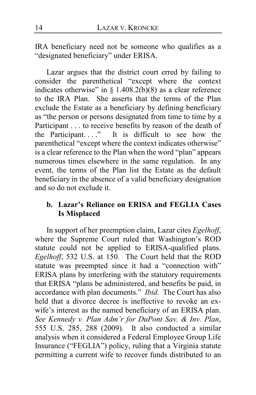IRA beneficiary need not be someone who qualifies as a "designated beneficiary" under ERISA.

Lazar argues that the district court erred by failing to consider the parenthetical "except where the context indicates otherwise" in  $\S 1.408.2(b)(8)$  as a clear reference to the IRA Plan. She asserts that the terms of the Plan exclude the Estate as a beneficiary by defining beneficiary as "the person or persons designated from time to time by a Participant . . . to receive benefits by reason of the death of the Participant...." It is difficult to see how the parenthetical "except where the context indicates otherwise" is a clear reference to the Plan when the word "plan" appears numerous times elsewhere in the same regulation. In any event, the terms of the Plan list the Estate as the default beneficiary in the absence of a valid beneficiary designation and so do not exclude it.

## **b. Lazar's Reliance on ERISA and FEGLIA Cases Is Misplaced**

In support of her preemption claim, Lazar cites *Egelhoff*, where the Supreme Court ruled that Washington's ROD statute could not be applied to ERISA-qualified plans. *Egelhoff*, 532 U.S. at 150. The Court held that the ROD statute was preempted since it had a "connection with" ERISA plans by interfering with the statutory requirements that ERISA "plans be administered, and benefits be paid, in accordance with plan documents." *Ibid.* The Court has also held that a divorce decree is ineffective to revoke an exwife's interest as the named beneficiary of an ERISA plan. *See Kennedy v. Plan Adm'r for DuPont Sav. & Inv. Plan*, 555 U.S. 285, 288 (2009). It also conducted a similar analysis when it considered a Federal Employee Group Life Insurance ("FEGLIA") policy, ruling that a Virginia statute permitting a current wife to recover funds distributed to an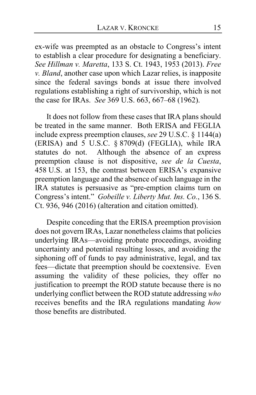ex-wife was preempted as an obstacle to Congress's intent to establish a clear procedure for designating a beneficiary. *See Hillman v. Maretta*, 133 S. Ct. 1943, 1953 (2013). *Free v. Bland*, another case upon which Lazar relies, is inapposite since the federal savings bonds at issue there involved regulations establishing a right of survivorship, which is not the case for IRAs. *See* 369 U.S. 663, 667–68 (1962).

It does not follow from these cases that IRA plans should be treated in the same manner. Both ERISA and FEGLIA include express preemption clauses, *see* 29 U.S.C. § 1144(a) (ERISA) and 5 U.S.C. § 8709(d) (FEGLIA), while IRA statutes do not. Although the absence of an express preemption clause is not dispositive, *see de la Cuesta*, 458 U.S. at 153, the contrast between ERISA's expansive preemption language and the absence of such language in the IRA statutes is persuasive as "pre-emption claims turn on Congress's intent." *Gobeille v. Liberty Mut. Ins. Co.*, 136 S. Ct. 936, 946 (2016) (alteration and citation omitted).

Despite conceding that the ERISA preemption provision does not govern IRAs, Lazar nonetheless claims that policies underlying IRAs—avoiding probate proceedings, avoiding uncertainty and potential resulting losses, and avoiding the siphoning off of funds to pay administrative, legal, and tax fees—dictate that preemption should be coextensive. Even assuming the validity of these policies, they offer no justification to preempt the ROD statute because there is no underlying conflict between the ROD statute addressing *who* receives benefits and the IRA regulations mandating *how* those benefits are distributed.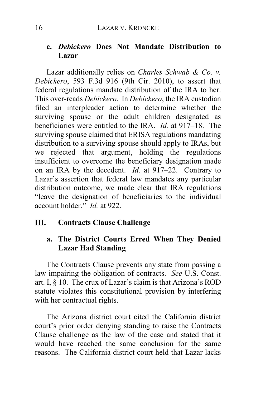## **c.** *Debickero* **Does Not Mandate Distribution to Lazar**

Lazar additionally relies on *Charles Schwab & Co. v. Debickero*, 593 F.3d 916 (9th Cir. 2010), to assert that federal regulations mandate distribution of the IRA to her. This over-reads *Debickero*. In *Debickero*, the IRA custodian filed an interpleader action to determine whether the surviving spouse or the adult children designated as beneficiaries were entitled to the IRA. *Id.* at 917–18. The surviving spouse claimed that ERISA regulations mandating distribution to a surviving spouse should apply to IRAs, but we rejected that argument, holding the regulations insufficient to overcome the beneficiary designation made on an IRA by the decedent. *Id.* at 917–22. Contrary to Lazar's assertion that federal law mandates any particular distribution outcome, we made clear that IRA regulations "leave the designation of beneficiaries to the individual account holder." *Id.* at 922.

#### Ш. **Contracts Clause Challenge**

# **a. The District Courts Erred When They Denied Lazar Had Standing**

The Contracts Clause prevents any state from passing a law impairing the obligation of contracts. *See* U.S. Const. art. I, § 10. The crux of Lazar's claim is that Arizona's ROD statute violates this constitutional provision by interfering with her contractual rights.

The Arizona district court cited the California district court's prior order denying standing to raise the Contracts Clause challenge as the law of the case and stated that it would have reached the same conclusion for the same reasons. The California district court held that Lazar lacks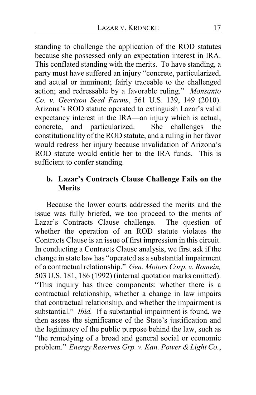standing to challenge the application of the ROD statutes because she possessed only an expectation interest in IRA. This conflated standing with the merits. To have standing, a party must have suffered an injury "concrete, particularized, and actual or imminent; fairly traceable to the challenged action; and redressable by a favorable ruling." *Monsanto Co. v. Geertson Seed Farms*, 561 U.S. 139, 149 (2010). Arizona's ROD statute operated to extinguish Lazar's valid expectancy interest in the IRA—an injury which is actual, concrete, and particularized. She challenges the constitutionality of the ROD statute, and a ruling in her favor would redress her injury because invalidation of Arizona's ROD statute would entitle her to the IRA funds. This is sufficient to confer standing.

## **b. Lazar's Contracts Clause Challenge Fails on the Merits**

Because the lower courts addressed the merits and the issue was fully briefed, we too proceed to the merits of Lazar's Contracts Clause challenge. The question of whether the operation of an ROD statute violates the Contracts Clause is an issue of first impression in this circuit. In conducting a Contracts Clause analysis, we first ask if the change in state law has "operated as a substantial impairment of a contractual relationship." *Gen. Motors Corp. v. Romein,* 503 U.S. 181, 186 (1992) (internal quotation marks omitted). "This inquiry has three components: whether there is a contractual relationship, whether a change in law impairs that contractual relationship, and whether the impairment is substantial." *Ibid.* If a substantial impairment is found, we then assess the significance of the State's justification and the legitimacy of the public purpose behind the law, such as "the remedying of a broad and general social or economic problem." *Energy Reserves Grp. v. Kan. Power & Light Co.*,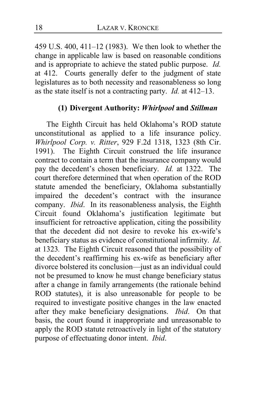459 U.S. 400, 411–12 (1983). We then look to whether the change in applicable law is based on reasonable conditions and is appropriate to achieve the stated public purpose. *Id.*  at 412. Courts generally defer to the judgment of state legislatures as to both necessity and reasonableness so long as the state itself is not a contracting party. *Id.* at 412–13.

## **(1) Divergent Authority:** *Whirlpool* **and** *Stillman*

The Eighth Circuit has held Oklahoma's ROD statute unconstitutional as applied to a life insurance policy. *Whirlpool Corp. v. Ritter*, 929 F.2d 1318, 1323 (8th Cir. 1991). The Eighth Circuit construed the life insurance contract to contain a term that the insurance company would pay the decedent's chosen beneficiary. *Id.* at 1322. The court therefore determined that when operation of the ROD statute amended the beneficiary, Oklahoma substantially impaired the decedent's contract with the insurance company. *Ibid*. In its reasonableness analysis, the Eighth Circuit found Oklahoma's justification legitimate but insufficient for retroactive application, citing the possibility that the decedent did not desire to revoke his ex-wife's beneficiary status as evidence of constitutional infirmity. *Id*. at 1323*.* The Eighth Circuit reasoned that the possibility of the decedent's reaffirming his ex-wife as beneficiary after divorce bolstered its conclusion—just as an individual could not be presumed to know he must change beneficiary status after a change in family arrangements (the rationale behind ROD statutes), it is also unreasonable for people to be required to investigate positive changes in the law enacted after they make beneficiary designations. *Ibid*. On that basis, the court found it inappropriate and unreasonable to apply the ROD statute retroactively in light of the statutory purpose of effectuating donor intent. *Ibid*.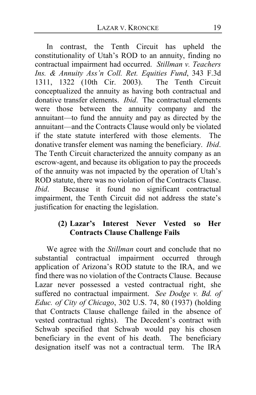In contrast, the Tenth Circuit has upheld the constitutionality of Utah's ROD to an annuity, finding no contractual impairment had occurred. *Stillman v. Teachers Ins. & Annuity Ass'n Coll. Ret. Equities Fund*, 343 F.3d 1311, 1322 (10th Cir. 2003). conceptualized the annuity as having both contractual and donative transfer elements. *Ibid*. The contractual elements were those between the annuity company and the annuitant—to fund the annuity and pay as directed by the annuitant—and the Contracts Clause would only be violated if the state statute interfered with those elements. The donative transfer element was naming the beneficiary. *Ibid*. The Tenth Circuit characterized the annuity company as an escrow-agent, and because its obligation to pay the proceeds of the annuity was not impacted by the operation of Utah's ROD statute, there was no violation of the Contracts Clause. *Ibid*. Because it found no significant contractual impairment, the Tenth Circuit did not address the state's justification for enacting the legislation.

# **(2) Lazar's Interest Never Vested so Her Contracts Clause Challenge Fails**

We agree with the *Stillman* court and conclude that no substantial contractual impairment occurred through application of Arizona's ROD statute to the IRA, and we find there was no violation of the Contracts Clause. Because Lazar never possessed a vested contractual right, she suffered no contractual impairment. *See Dodge v. Bd. of Educ. of City of Chicago*, 302 U.S. 74, 80 (1937) (holding that Contracts Clause challenge failed in the absence of vested contractual rights). The Decedent's contract with Schwab specified that Schwab would pay his chosen beneficiary in the event of his death. The beneficiary designation itself was not a contractual term. The IRA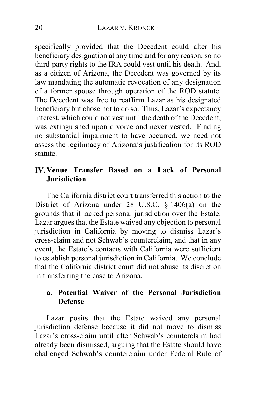specifically provided that the Decedent could alter his beneficiary designation at any time and for any reason, so no third-party rights to the IRA could vest until his death. And, as a citizen of Arizona, the Decedent was governed by its law mandating the automatic revocation of any designation of a former spouse through operation of the ROD statute. The Decedent was free to reaffirm Lazar as his designated beneficiary but chose not to do so. Thus, Lazar's expectancy interest, which could not vest until the death of the Decedent, was extinguished upon divorce and never vested. Finding no substantial impairment to have occurred, we need not assess the legitimacy of Arizona's justification for its ROD statute.

# **IV. Venue Transfer Based on a Lack of Personal Jurisdiction**

The California district court transferred this action to the District of Arizona under 28 U.S.C. § 1406(a) on the grounds that it lacked personal jurisdiction over the Estate. Lazar argues that the Estate waived any objection to personal jurisdiction in California by moving to dismiss Lazar's cross-claim and not Schwab's counterclaim, and that in any event, the Estate's contacts with California were sufficient to establish personal jurisdiction in California. We conclude that the California district court did not abuse its discretion in transferring the case to Arizona.

## **a. Potential Waiver of the Personal Jurisdiction Defense**

Lazar posits that the Estate waived any personal jurisdiction defense because it did not move to dismiss Lazar's cross-claim until after Schwab's counterclaim had already been dismissed, arguing that the Estate should have challenged Schwab's counterclaim under Federal Rule of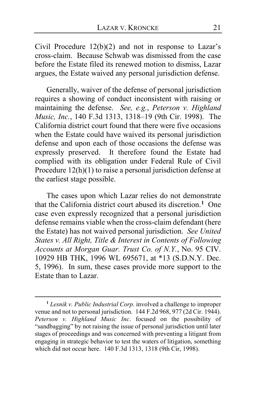Civil Procedure  $12(b)(2)$  and not in response to Lazar's cross-claim. Because Schwab was dismissed from the case before the Estate filed its renewed motion to dismiss, Lazar argues, the Estate waived any personal jurisdiction defense.

Generally, waiver of the defense of personal jurisdiction requires a showing of conduct inconsistent with raising or maintaining the defense. *See, e.g.*, *Peterson v. Highland Music, Inc.*, 140 F.3d 1313, 1318–19 (9th Cir. 1998). The California district court found that there were five occasions when the Estate could have waived its personal jurisdiction defense and upon each of those occasions the defense was expressly preserved. It therefore found the Estate had complied with its obligation under Federal Rule of Civil Procedure 12(h)(1) to raise a personal jurisdiction defense at the earliest stage possible.

The cases upon which Lazar relies do not demonstrate that the California district court abused its discretion.**[1](#page-20-0)** One case even expressly recognized that a personal jurisdiction defense remains viable when the cross-claim defendant (here the Estate) has not waived personal jurisdiction. *See United States v. All Right, Title & Interest in Contents of Following Accounts at Morgan Guar. Trust Co. of N.Y.*, No. 95 CIV. 10929 HB THK, 1996 WL 695671, at \*13 (S.D.N.Y. Dec. 5, 1996). In sum, these cases provide more support to the Estate than to Lazar.

 $\overline{a}$ 

<span id="page-20-0"></span>**<sup>1</sup>** *Lesnik v. Public Industrial Corp.* involved a challenge to improper venue and not to personal jurisdiction. 144 F.2d 968, 977 (2d Cir. 1944). *Peterson v. Highland Music Inc*. focused on the possibility of "sandbagging" by not raising the issue of personal jurisdiction until later stages of proceedings and was concerned with preventing a litigant from engaging in strategic behavior to test the waters of litigation, something which did not occur here. 140 F.3d 1313, 1318 (9th Cir, 1998).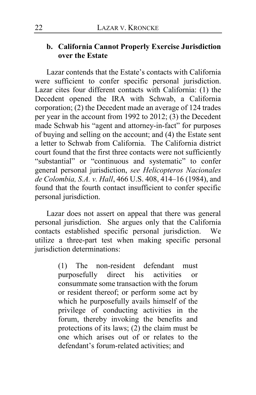## **b. California Cannot Properly Exercise Jurisdiction over the Estate**

Lazar contends that the Estate's contacts with California were sufficient to confer specific personal jurisdiction. Lazar cites four different contacts with California: (1) the Decedent opened the IRA with Schwab, a California corporation; (2) the Decedent made an average of 124 trades per year in the account from 1992 to 2012; (3) the Decedent made Schwab his "agent and attorney-in-fact" for purposes of buying and selling on the account; and (4) the Estate sent a letter to Schwab from California. The California district court found that the first three contacts were not sufficiently "substantial" or "continuous and systematic" to confer general personal jurisdiction, *see Helicopteros Nacionales de Colombia, S.A. v. Hall*, 466 U.S. 408, 414–16 (1984), and found that the fourth contact insufficient to confer specific personal jurisdiction.

Lazar does not assert on appeal that there was general personal jurisdiction. She argues only that the California contacts established specific personal jurisdiction. We utilize a three-part test when making specific personal jurisdiction determinations:

> (1) The non-resident defendant must purposefully direct his activities or consummate some transaction with the forum or resident thereof; or perform some act by which he purposefully avails himself of the privilege of conducting activities in the forum, thereby invoking the benefits and protections of its laws; (2) the claim must be one which arises out of or relates to the defendant's forum-related activities; and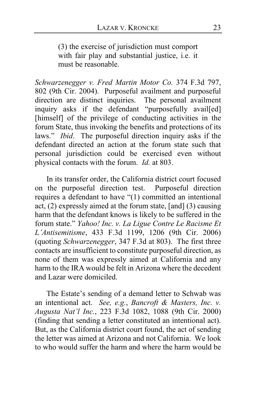(3) the exercise of jurisdiction must comport with fair play and substantial justice, i.e. it must be reasonable.

*Schwarzenegger v. Fred Martin Motor Co.* 374 F.3d 797, 802 (9th Cir. 2004). Purposeful availment and purposeful direction are distinct inquiries. The personal availment inquiry asks if the defendant "purposefully avail[ed] [himself] of the privilege of conducting activities in the forum State, thus invoking the benefits and protections of its laws." *Ibid*. The purposeful direction inquiry asks if the defendant directed an action at the forum state such that personal jurisdiction could be exercised even without physical contacts with the forum. *Id.* at 803.

In its transfer order, the California district court focused on the purposeful direction test. Purposeful direction requires a defendant to have "(1) committed an intentional act, (2) expressly aimed at the forum state, [and] (3) causing harm that the defendant knows is likely to be suffered in the forum state." *Yahoo! Inc. v. La Ligue Contre Le Racisme Et L'Antisemitisme*, 433 F.3d 1199, 1206 (9th Cir. 2006) (quoting *Schwarzenegger*, 347 F.3d at 803). The first three contacts are insufficient to constitute purposeful direction, as none of them was expressly aimed at California and any harm to the IRA would be felt in Arizona where the decedent and Lazar were domiciled.

The Estate's sending of a demand letter to Schwab was an intentional act.*See, e.g.*, *Bancroft & Masters, Inc. v. Augusta Nat'l Inc.*, 223 F.3d 1082, 1088 (9th Cir. 2000) (finding that sending a letter constituted an intentional act). But, as the California district court found, the act of sending the letter was aimed at Arizona and not California. We look to who would suffer the harm and where the harm would be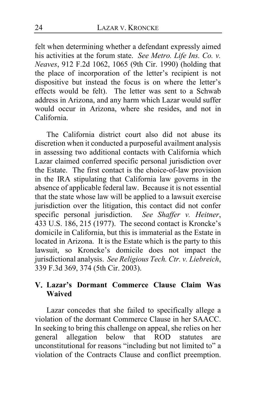felt when determining whether a defendant expressly aimed his activities at the forum state. *See Metro. Life Ins. Co. v. Neaves*, 912 F.2d 1062, 1065 (9th Cir. 1990) (holding that the place of incorporation of the letter's recipient is not dispositive but instead the focus is on where the letter's effects would be felt). The letter was sent to a Schwab address in Arizona, and any harm which Lazar would suffer would occur in Arizona, where she resides, and not in California.

The California district court also did not abuse its discretion when it conducted a purposeful availment analysis in assessing two additional contacts with California which Lazar claimed conferred specific personal jurisdiction over the Estate. The first contact is the choice-of-law provision in the IRA stipulating that California law governs in the absence of applicable federal law. Because it is not essential that the state whose law will be applied to a lawsuit exercise jurisdiction over the litigation, this contact did not confer specific personal jurisdiction. *See Shaffer v. Heitner*, 433 U.S. 186, 215 (1977). The second contact is Kroncke's domicile in California, but this is immaterial as the Estate in located in Arizona. It is the Estate which is the party to this lawsuit, so Kroncke's domicile does not impact the jurisdictional analysis. *See Religious Tech. Ctr. v. Liebreich*, 339 F.3d 369, 374 (5th Cir. 2003).

## **Lazar's Dormant Commerce Clause Claim Was Waived**

Lazar concedes that she failed to specifically allege a violation of the dormant Commerce Clause in her SAACC. In seeking to bring this challenge on appeal, she relies on her general allegation below that ROD statutes are unconstitutional for reasons "including but not limited to" a violation of the Contracts Clause and conflict preemption.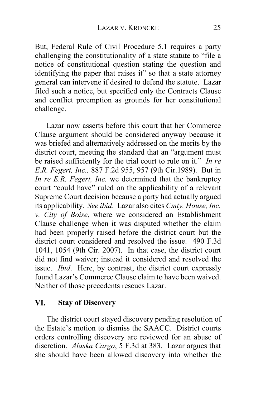But, Federal Rule of Civil Procedure 5.1 requires a party challenging the constitutionality of a state statute to "file a notice of constitutional question stating the question and identifying the paper that raises it" so that a state attorney general can intervene if desired to defend the statute. Lazar filed such a notice, but specified only the Contracts Clause and conflict preemption as grounds for her constitutional challenge.

Lazar now asserts before this court that her Commerce Clause argument should be considered anyway because it was briefed and alternatively addressed on the merits by the district court, meeting the standard that an "argument must be raised sufficiently for the trial court to rule on it." *In re E.R. Fegert, Inc.,* 887 F.2d 955, 957 (9th Cir.1989). But in *In re E.R. Fegert, Inc.* we determined that the bankruptcy court "could have" ruled on the applicability of a relevant Supreme Court decision because a party had actually argued its applicability. *See ibid*. Lazar also cites *Cmty. House, Inc. v. City of Boise*, where we considered an Establishment Clause challenge when it was disputed whether the claim had been properly raised before the district court but the district court considered and resolved the issue. 490 F.3d 1041, 1054 (9th Cir. 2007). In that case, the district court did not find waiver; instead it considered and resolved the issue. *Ibid*. Here, by contrast, the district court expressly found Lazar's Commerce Clause claim to have been waived. Neither of those precedents rescues Lazar.

#### VI. **Stay of Discovery**

The district court stayed discovery pending resolution of the Estate's motion to dismiss the SAACC. District courts orders controlling discovery are reviewed for an abuse of discretion. *Alaska Cargo*, 5 F.3d at 383. Lazar argues that she should have been allowed discovery into whether the